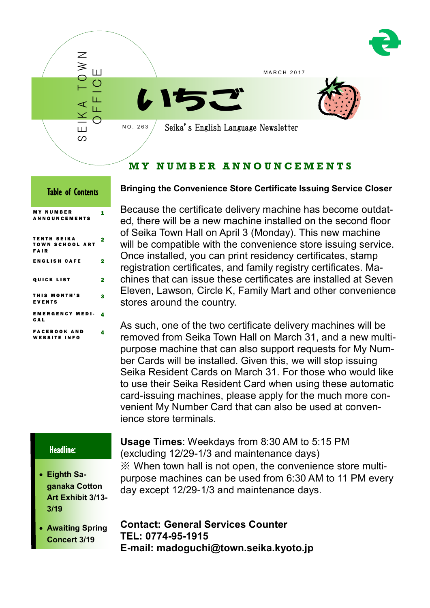

# **M Y N U M B E R A N N O U N C E M E N T S**

| <b>Table of Contents</b>                      |        |  |
|-----------------------------------------------|--------|--|
| <b>MY NUMBER</b><br><b>ANNOUNCEMENTS</b>      | 1      |  |
| <b>TENTH SEIKA</b><br>TOWN SCHOOL ART<br>FAIR | 2      |  |
| <b>ENGLISH CAFE</b>                           | 2      |  |
| <b>QUICK LIST</b><br>THIS MONTH'S             | 2      |  |
| EVENTS<br><b>EMERGENCY MEDI-</b>              | з<br>4 |  |
| CAL<br><b>FACEBOOK AND</b>                    | 4      |  |
| <b>WEBSITE INFO</b>                           |        |  |

## **Bringing the Convenience Store Certificate Issuing Service Closer**

Because the certificate delivery machine has become outdated, there will be a new machine installed on the second floor of Seika Town Hall on April 3 (Monday). This new machine will be compatible with the convenience store issuing service. Once installed, you can print residency certificates, stamp registration certificates, and family registry certificates. Machines that can issue these certificates are installed at Seven Eleven, Lawson, Circle K, Family Mart and other convenience stores around the country.

As such, one of the two certificate delivery machines will be removed from Seika Town Hall on March 31, and a new multipurpose machine that can also support requests for My Number Cards will be installed. Given this, we will stop issuing Seika Resident Cards on March 31. For those who would like to use their Seika Resident Card when using these automatic card-issuing machines, please apply for the much more convenient My Number Card that can also be used at convenience store terminals.

## Headline:

Ī

- **Eighth Saganaka Cotton Art Exhibit 3/13- 3/19**
- **Awaiting Spring Concert 3/19**

**Usage Times**: Weekdays from 8:30 AM to 5:15 PM (excluding 12/29-1/3 and maintenance days) ※ When town hall is not open, the convenience store multipurpose machines can be used from 6:30 AM to 11 PM every day except 12/29-1/3 and maintenance days.

**Contact: General Services Counter TEL: 0774-95-1915 E-mail: madoguchi@town.seika.kyoto.jp**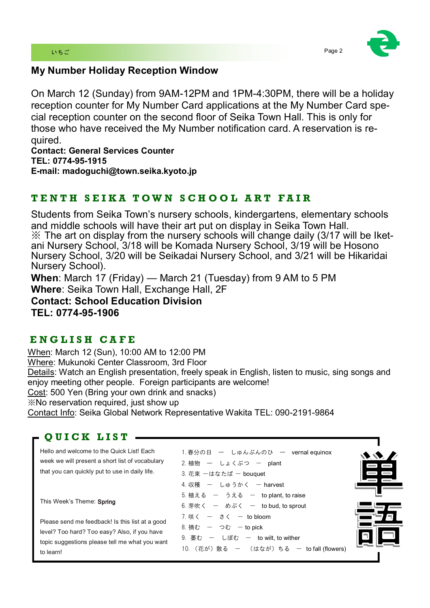

# **My Number Holiday Reception Window**

On March 12 (Sunday) from 9AM-12PM and 1PM-4:30PM, there will be a holiday reception counter for My Number Card applications at the My Number Card special reception counter on the second floor of Seika Town Hall. This is only for those who have received the My Number notification card. A reservation is required.

**Contact: General Services Counter TEL: 0774-95-1915 E-mail: madoguchi@town.seika.kyoto.jp**

# **T E N T H S E I K A T O W N S C H O O L A R T F A I R**

Students from Seika Town's nursery schools, kindergartens, elementary schools and middle schools will have their art put on display in Seika Town Hall.  $\mathbb X$  The art on display from the nursery schools will change daily (3/17 will be Iketani Nursery School, 3/18 will be Komada Nursery School, 3/19 will be Hosono Nursery School, 3/20 will be Seikadai Nursery School, and 3/21 will be Hikaridai Nursery School).

**When**: March 17 (Friday) — March 21 (Tuesday) from 9 AM to 5 PM **Where**: Seika Town Hall, Exchange Hall, 2F

**Contact: School Education Division TEL: 0774-95-1906**

# **E N G L I S H C A F E**

When: March 12 (Sun), 10:00 AM to 12:00 PM Where: Mukunoki Center Classroom, 3rd Floor Details: Watch an English presentation, freely speak in English, listen to music, sing songs and enjoy meeting other people. Foreign participants are welcome! Cost: 500 Yen (Bring your own drink and snacks) ※No reservation required, just show up Contact Info: Seika Global Network Representative Wakita TEL: 090-2191-9864

# **Q U I C K L I S T**

Hello and welcome to the Quick List! Each week we will present a short list of vocabulary that you can quickly put to use in daily life.

This Week's Theme: Spring

Please send me feedback! Is this list at a good level? Too hard? Too easy? Also, if you have topic suggestions please tell me what you want to learn!

| 1.春分の日 一 しゅんぶんのひ 一 vernal equinox          |  |
|--------------------------------------------|--|
| 2.植物 ー しょくぶつ ー plant                       |  |
| 3. 花束 一はなたば 一 bouquet                      |  |
| 4. 収穫 一 しゅうかく 一 harvest                    |  |
| 5. 植える ー うえる ー to plant, to raise          |  |
| 6. 芽吹く ー めぶく ー to bud, to sprout           |  |
| 7. 咲く ー さく ー to bloom                      |  |
| 8. 摘む ー つむ ー to pick                       |  |
| 9. 萎む ー しぼむ ー to wilt, to wither           |  |
| 10. (花が) 散る ー (はなが) ちる ー to fall (flowers) |  |
|                                            |  |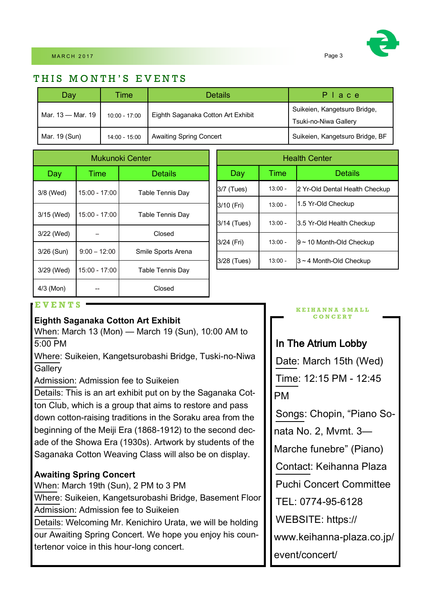# THIS MONTH'S EVENTS

| Day               | Time            | <b>Details</b>                     | Place                                                 |
|-------------------|-----------------|------------------------------------|-------------------------------------------------------|
| Mar. 13 - Mar. 19 | $10:00 - 17:00$ | Eighth Saganaka Cotton Art Exhibit | Suikeien, Kangetsuro Bridge,<br>Tsuki-no-Niwa Gallery |
| Mar. 19 (Sun)     | $14:00 - 15:00$ | <b>Awaiting Spring Concert</b>     | Suikeien, Kangetsuro Bridge, BF                       |

| Mukunoki Center |                 |                         |  |
|-----------------|-----------------|-------------------------|--|
| Day             | Time            | Details                 |  |
| 3/8 (Wed)       | 15:00 - 17:00   | Table Tennis Day        |  |
| 3/15 (Wed)      | $15:00 - 17:00$ | <b>Table Tennis Day</b> |  |
| 3/22 (Wed)      |                 | Closed                  |  |
| $3/26$ (Sun)    | $9:00 - 12:00$  | Smile Sports Arena      |  |
| 3/29 (Wed)      | $15:00 - 17:00$ | Table Tennis Day        |  |
| $4/3$ (Mon)     |                 | Closed                  |  |

| <b>Health Center</b> |           |                                |  |
|----------------------|-----------|--------------------------------|--|
| Day                  | Time      | Details                        |  |
| 3/7 (Tues)           | $13:00 -$ | 2 Yr-Old Dental Health Checkup |  |
| 3/10 (Fri)           | $13:00 -$ | 1.5 Yr-Old Checkup             |  |
| 3/14 (Tues)          | $13:00 -$ | 3.5 Yr-Old Health Checkup      |  |
| 3/24 (Fri)           | $13:00 -$ | $9 \sim 10$ Month-Old Checkup  |  |
| 3/28 (Tues)          | $13:00 -$ | $3 \sim 4$ Month-Old Checkup   |  |

## **E V E N T S**

## **Eighth Saganaka Cotton Art Exhibit**

When: March 13 (Mon) — March 19 (Sun), 10:00 AM to 5:00 PM

Where: Suikeien, Kangetsurobashi Bridge, Tuski-no-Niwa **Gallerv** 

Admission: Admission fee to Suikeien

Details: This is an art exhibit put on by the Saganaka Cotton Club, which is a group that aims to restore and pass down cotton-raising traditions in the Soraku area from the beginning of the Meiji Era (1868-1912) to the second decade of the Showa Era (1930s). Artwork by students of the Saganaka Cotton Weaving Class will also be on display.

## **Awaiting Spring Concert**

When: March 19th (Sun), 2 PM to 3 PM

Where: Suikeien, Kangetsurobashi Bridge, Basement Floor Admission: Admission fee to Suikeien

Details: Welcoming Mr. Kenichiro Urata, we will be holding our Awaiting Spring Concert. We hope you enjoy his countertenor voice in this hour-long concert.

#### **K E I H A N N A S M A L L C O N C E R T**

# In The Atrium Lobby

Date: March 15th (Wed) Time: 12:15 PM - 12:45 PM

Songs: Chopin, "Piano So-

nata No. 2, Mvmt. 3—

Marche funebre" (Piano)

Contact: Keihanna Plaza

Puchi Concert Committee

TEL: 0774-95-6128

WEBSITE: https://

www.keihanna-plaza.co.jp/

event/concert/